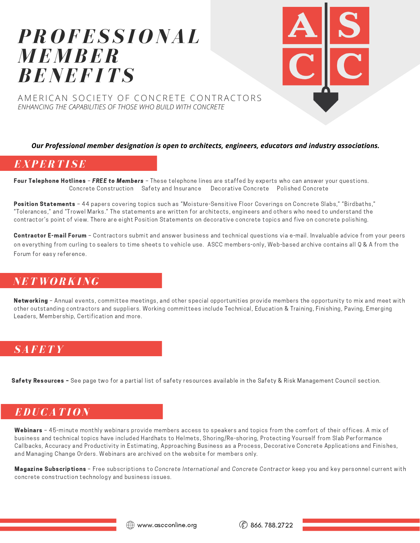# *PR O FES S I O NAL M E M BER BENEF ITS*



AMERICAN SOCIETY OF CONCRETE CONTRACTORS *ENHANCING THE CAPABILITIES OF THOSE WHO BUILD WITH CONCRETE*

#### *Our Professional member designation is open to architects, engineers, educators and industry associations.*

### *EXPERTI SE*

Four Telephone Hotlines – FREE to Members – These telephone lines are staffed by experts who can answer your questions. Concrete Construction Safety and Insurance Decorative Concrete Polished Concrete

Position Statements - 44 papers covering topics such as "Moisture-Sensitive Floor Coverings on Concrete Slabs," "Birdbaths," "Tolerances," and "Trowel Marks." The statements are written for architects, engineers and others who need to understand the contractor's point of view. There are eight Position Statements on decorative concrete topics and five on concrete polishing.

Contractor E-mail Forum - Contractors submit and answer business and technical questions via e-mail. Invaluable advice from your peers on everything from curling to sealers to time sheets to vehicle use. ASCC members-only, Web-based archive contains all Q & A from the Forum for easy reference.

### *NET W O RKING*

Networking - Annual events, committee meetings, and other special opportunities provide members the opportunity to mix and meet with other outstanding contractors and suppliers. Working committees include Technical, Education & Training, Finishing, Paving, Emerging Leaders, Membership, Certification and more.

### *SAFETY*

Safety Resources - See page two for a partial list of safety resources available in the Safety & Risk Management Council section.

# *EDUCATI O N*

Webinars - 45-minute monthly webinars provide members access to speakers and topics from the comfort of their offices. A mix of business and technical topics have included Hardhats to Helmets, Shoring/Re-shoring, Protecting Yourself from Slab Performance Callbacks, Accuracy and Productivity in Estimating, Approaching Business as a Process, Decorative Concrete Applications and Finishes, and Managing Change Orders. Webinars are archived on the website for members only.

Magazine Subscriptions - Free subscriptions to Concrete International and Concrete Contractor keep you and key personnel current with concrete construction technology and business issues.